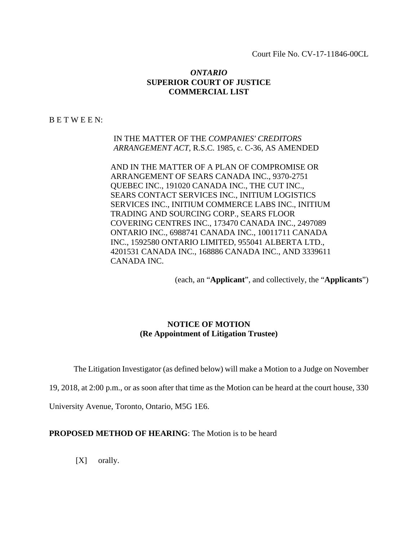Court File No. CV-17-11846-00CL

# *ONTARIO*  **SUPERIOR COURT OF JUSTICE COMMERCIAL LIST**

B E T W E E N:

IN THE MATTER OF THE *COMPANIES' CREDITORS ARRANGEMENT ACT*, R.S.C. 1985, c. C-36, AS AMENDED

AND IN THE MATTER OF A PLAN OF COMPROMISE OR ARRANGEMENT OF SEARS CANADA INC., 9370-2751 QUEBEC INC., 191020 CANADA INC., THE CUT INC., SEARS CONTACT SERVICES INC., INITIUM LOGISTICS SERVICES INC., INITIUM COMMERCE LABS INC., INITIUM TRADING AND SOURCING CORP., SEARS FLOOR COVERING CENTRES INC., 173470 CANADA INC., 2497089 ONTARIO INC., 6988741 CANADA INC., 10011711 CANADA INC., 1592580 ONTARIO LIMITED, 955041 ALBERTA LTD., 4201531 CANADA INC., 168886 CANADA INC., AND 3339611 CANADA INC.

(each, an "**Applicant**", and collectively, the "**Applicants**")

# **NOTICE OF MOTION (Re Appointment of Litigation Trustee)**

The Litigation Investigator (as defined below) will make a Motion to a Judge on November

19, 2018, at 2:00 p.m., or as soon after that time as the Motion can be heard at the court house, 330

University Avenue, Toronto, Ontario, M5G 1E6.

**PROPOSED METHOD OF HEARING:** The Motion is to be heard

[X] orally.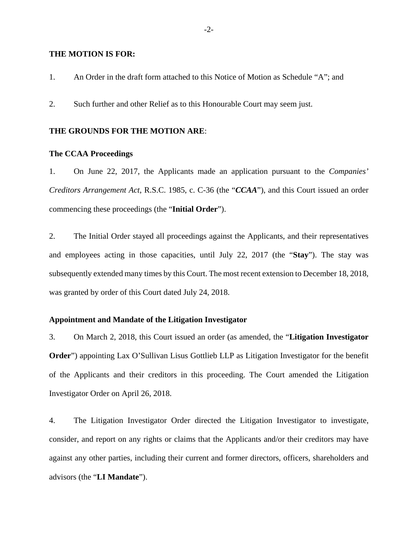#### **THE MOTION IS FOR:**

1. An Order in the draft form attached to this Notice of Motion as Schedule "A"; and

2. Such further and other Relief as to this Honourable Court may seem just.

## **THE GROUNDS FOR THE MOTION ARE**:

## **The CCAA Proceedings**

1. On June 22, 2017, the Applicants made an application pursuant to the *Companies' Creditors Arrangement Act*, R.S.C. 1985, c. C-36 (the "*CCAA*"), and this Court issued an order commencing these proceedings (the "**Initial Order**").

2. The Initial Order stayed all proceedings against the Applicants, and their representatives and employees acting in those capacities, until July 22, 2017 (the "**Stay**"). The stay was subsequently extended many times by this Court. The most recent extension to December 18, 2018, was granted by order of this Court dated July 24, 2018.

## **Appointment and Mandate of the Litigation Investigator**

3. On March 2, 2018, this Court issued an order (as amended, the "**Litigation Investigator Order**") appointing Lax O'Sullivan Lisus Gottlieb LLP as Litigation Investigator for the benefit of the Applicants and their creditors in this proceeding. The Court amended the Litigation Investigator Order on April 26, 2018.

4. The Litigation Investigator Order directed the Litigation Investigator to investigate, consider, and report on any rights or claims that the Applicants and/or their creditors may have against any other parties, including their current and former directors, officers, shareholders and advisors (the "**LI Mandate**").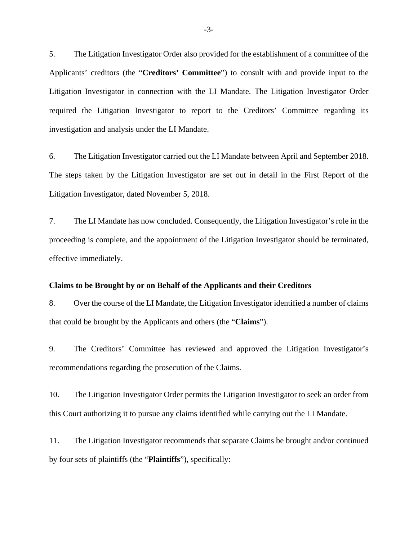5. The Litigation Investigator Order also provided for the establishment of a committee of the Applicants' creditors (the "**Creditors' Committee**") to consult with and provide input to the Litigation Investigator in connection with the LI Mandate. The Litigation Investigator Order required the Litigation Investigator to report to the Creditors' Committee regarding its investigation and analysis under the LI Mandate.

6. The Litigation Investigator carried out the LI Mandate between April and September 2018. The steps taken by the Litigation Investigator are set out in detail in the First Report of the Litigation Investigator, dated November 5, 2018.

7. The LI Mandate has now concluded. Consequently, the Litigation Investigator's role in the proceeding is complete, and the appointment of the Litigation Investigator should be terminated, effective immediately.

## **Claims to be Brought by or on Behalf of the Applicants and their Creditors**

8. Over the course of the LI Mandate, the Litigation Investigator identified a number of claims that could be brought by the Applicants and others (the "**Claims**").

9. The Creditors' Committee has reviewed and approved the Litigation Investigator's recommendations regarding the prosecution of the Claims.

10. The Litigation Investigator Order permits the Litigation Investigator to seek an order from this Court authorizing it to pursue any claims identified while carrying out the LI Mandate.

11. The Litigation Investigator recommends that separate Claims be brought and/or continued by four sets of plaintiffs (the "**Plaintiffs**"), specifically: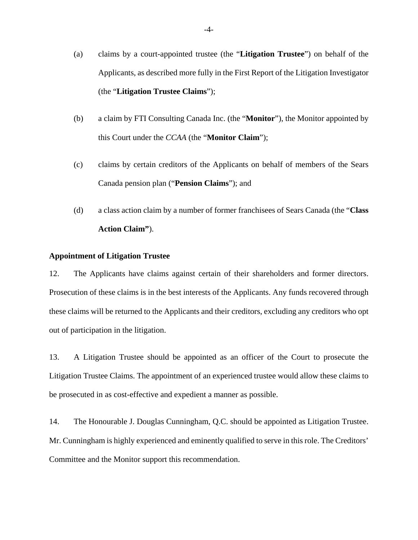- (a) claims by a court-appointed trustee (the "**Litigation Trustee**") on behalf of the Applicants, as described more fully in the First Report of the Litigation Investigator (the "**Litigation Trustee Claims**");
- (b) a claim by FTI Consulting Canada Inc. (the "**Monitor**"), the Monitor appointed by this Court under the *CCAA* (the "**Monitor Claim**");
- (c) claims by certain creditors of the Applicants on behalf of members of the Sears Canada pension plan ("**Pension Claims**"); and
- (d) a class action claim by a number of former franchisees of Sears Canada (the "**Class Action Claim"**).

### **Appointment of Litigation Trustee**

12. The Applicants have claims against certain of their shareholders and former directors. Prosecution of these claims is in the best interests of the Applicants. Any funds recovered through these claims will be returned to the Applicants and their creditors, excluding any creditors who opt out of participation in the litigation.

13. A Litigation Trustee should be appointed as an officer of the Court to prosecute the Litigation Trustee Claims. The appointment of an experienced trustee would allow these claims to be prosecuted in as cost-effective and expedient a manner as possible.

14. The Honourable J. Douglas Cunningham, Q.C. should be appointed as Litigation Trustee. Mr. Cunningham is highly experienced and eminently qualified to serve in this role. The Creditors' Committee and the Monitor support this recommendation.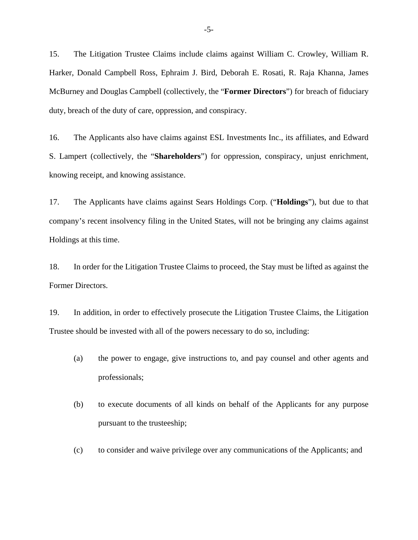15. The Litigation Trustee Claims include claims against William C. Crowley, William R. Harker, Donald Campbell Ross, Ephraim J. Bird, Deborah E. Rosati, R. Raja Khanna, James McBurney and Douglas Campbell (collectively, the "**Former Directors**") for breach of fiduciary duty, breach of the duty of care, oppression, and conspiracy.

16. The Applicants also have claims against ESL Investments Inc., its affiliates, and Edward S. Lampert (collectively, the "**Shareholders**") for oppression, conspiracy, unjust enrichment, knowing receipt, and knowing assistance.

17. The Applicants have claims against Sears Holdings Corp. ("**Holdings**"), but due to that company's recent insolvency filing in the United States, will not be bringing any claims against Holdings at this time.

18. In order for the Litigation Trustee Claims to proceed, the Stay must be lifted as against the Former Directors.

19. In addition, in order to effectively prosecute the Litigation Trustee Claims, the Litigation Trustee should be invested with all of the powers necessary to do so, including:

- (a) the power to engage, give instructions to, and pay counsel and other agents and professionals;
- (b) to execute documents of all kinds on behalf of the Applicants for any purpose pursuant to the trusteeship;
- (c) to consider and waive privilege over any communications of the Applicants; and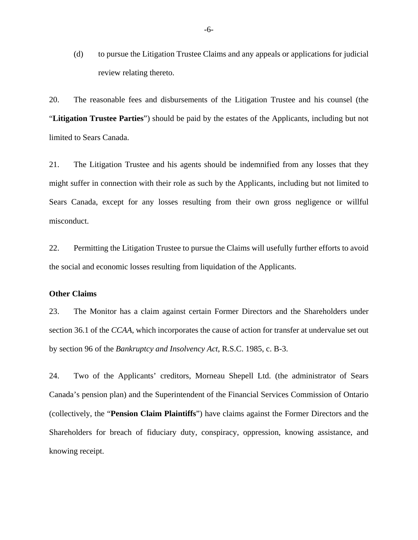(d) to pursue the Litigation Trustee Claims and any appeals or applications for judicial review relating thereto.

20. The reasonable fees and disbursements of the Litigation Trustee and his counsel (the "**Litigation Trustee Parties**") should be paid by the estates of the Applicants, including but not limited to Sears Canada.

21. The Litigation Trustee and his agents should be indemnified from any losses that they might suffer in connection with their role as such by the Applicants, including but not limited to Sears Canada, except for any losses resulting from their own gross negligence or willful misconduct.

22. Permitting the Litigation Trustee to pursue the Claims will usefully further efforts to avoid the social and economic losses resulting from liquidation of the Applicants.

## **Other Claims**

23. The Monitor has a claim against certain Former Directors and the Shareholders under section 36.1 of the *CCAA*, which incorporates the cause of action for transfer at undervalue set out by section 96 of the *Bankruptcy and Insolvency Act*, R.S.C. 1985, c. B-3.

24. Two of the Applicants' creditors, Morneau Shepell Ltd. (the administrator of Sears Canada's pension plan) and the Superintendent of the Financial Services Commission of Ontario (collectively, the "**Pension Claim Plaintiffs**") have claims against the Former Directors and the Shareholders for breach of fiduciary duty, conspiracy, oppression, knowing assistance, and knowing receipt.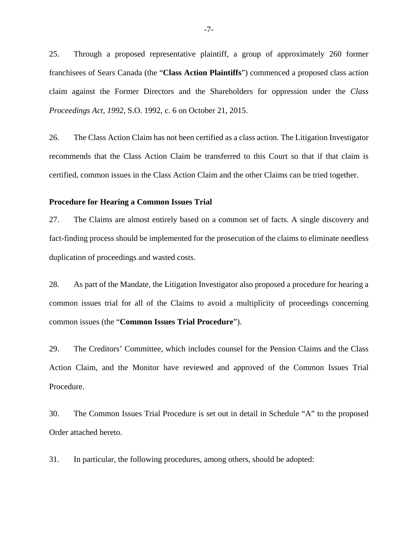25. Through a proposed representative plaintiff, a group of approximately 260 former franchisees of Sears Canada (the "**Class Action Plaintiffs**") commenced a proposed class action claim against the Former Directors and the Shareholders for oppression under the *Class Proceedings Act, 1992*, S.O. 1992, c. 6 on October 21, 2015.

26. The Class Action Claim has not been certified as a class action. The Litigation Investigator recommends that the Class Action Claim be transferred to this Court so that if that claim is certified, common issues in the Class Action Claim and the other Claims can be tried together.

## **Procedure for Hearing a Common Issues Trial**

27. The Claims are almost entirely based on a common set of facts. A single discovery and fact-finding process should be implemented for the prosecution of the claims to eliminate needless duplication of proceedings and wasted costs.

28. As part of the Mandate, the Litigation Investigator also proposed a procedure for hearing a common issues trial for all of the Claims to avoid a multiplicity of proceedings concerning common issues (the "**Common Issues Trial Procedure**").

29. The Creditors' Committee, which includes counsel for the Pension Claims and the Class Action Claim, and the Monitor have reviewed and approved of the Common Issues Trial Procedure.

30. The Common Issues Trial Procedure is set out in detail in Schedule "A" to the proposed Order attached hereto.

31. In particular, the following procedures, among others, should be adopted: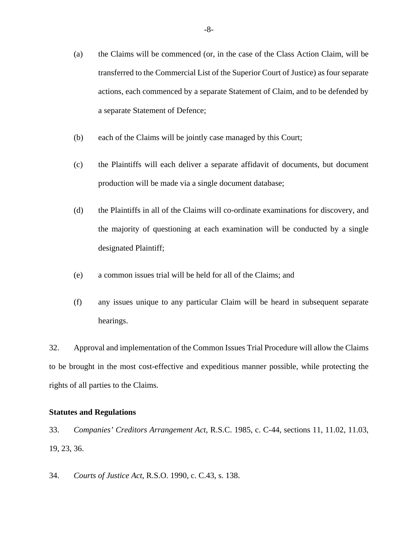- (a) the Claims will be commenced (or, in the case of the Class Action Claim, will be transferred to the Commercial List of the Superior Court of Justice) as four separate actions, each commenced by a separate Statement of Claim, and to be defended by a separate Statement of Defence;
- (b) each of the Claims will be jointly case managed by this Court;
- (c) the Plaintiffs will each deliver a separate affidavit of documents, but document production will be made via a single document database;
- (d) the Plaintiffs in all of the Claims will co-ordinate examinations for discovery, and the majority of questioning at each examination will be conducted by a single designated Plaintiff;
- (e) a common issues trial will be held for all of the Claims; and
- (f) any issues unique to any particular Claim will be heard in subsequent separate hearings.

32. Approval and implementation of the Common Issues Trial Procedure will allow the Claims to be brought in the most cost-effective and expeditious manner possible, while protecting the rights of all parties to the Claims.

## **Statutes and Regulations**

- 33. *Companies' Creditors Arrangement Act*, R.S.C. 1985, c. C-44, sections 11, 11.02, 11.03, 19, 23, 36.
- 34. *Courts of Justice Act*, R.S.O. 1990, c. C.43, s. 138.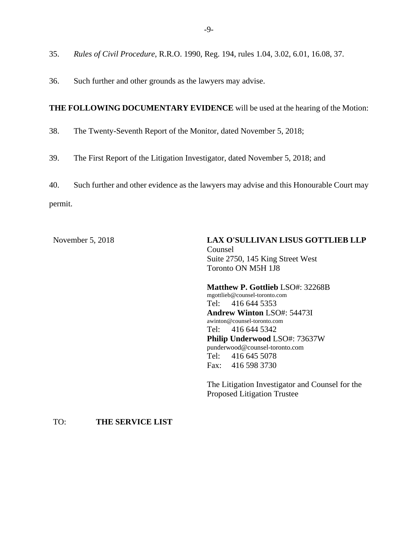36. Such further and other grounds as the lawyers may advise.

# **THE FOLLOWING DOCUMENTARY EVIDENCE** will be used at the hearing of the Motion:

- 38. The Twenty-Seventh Report of the Monitor, dated November 5, 2018;
- 39. The First Report of the Litigation Investigator, dated November 5, 2018; and

40. Such further and other evidence as the lawyers may advise and this Honourable Court may permit.

November 5, 2018 **LAX O'SULLIVAN LISUS GOTTLIEB LLP**  Counsel Suite 2750, 145 King Street West Toronto ON M5H 1J8

> **Matthew P. Gottlieb** LSO#: 32268B mgottlieb@counsel-toronto.com Tel: 416 644 5353 **Andrew Winton** LSO#: 54473I awinton@counsel-toronto.com Tel: 416 644 5342 **Philip Underwood** LSO#: 73637W punderwood@counsel-toronto.com Tel: 416 645 5078 Fax: 416 598 3730

The Litigation Investigator and Counsel for the Proposed Litigation Trustee

## TO: **THE SERVICE LIST**